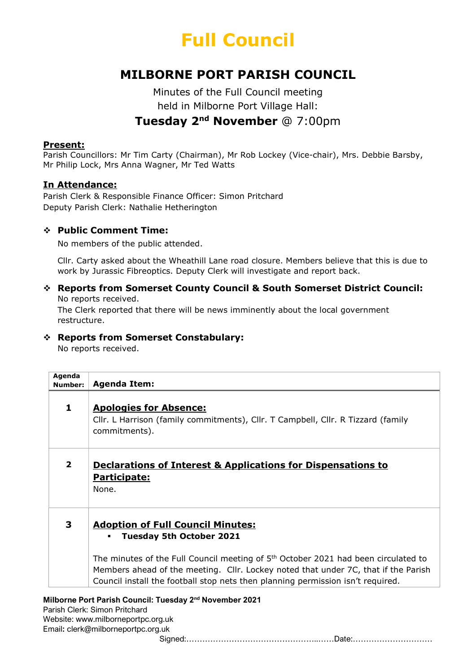

# MILBORNE PORT PARISH COUNCIL

Minutes of the Full Council meeting held in Milborne Port Village Hall: Tuesday 2nd November @ 7:00pm

#### Present:

Parish Councillors: Mr Tim Carty (Chairman), Mr Rob Lockey (Vice-chair), Mrs. Debbie Barsby, Mr Philip Lock, Mrs Anna Wagner, Mr Ted Watts

# In Attendance:

Parish Clerk & Responsible Finance Officer: Simon Pritchard Deputy Parish Clerk: Nathalie Hetherington

# Public Comment Time:

No members of the public attended.

Cllr. Carty asked about the Wheathill Lane road closure. Members believe that this is due to work by Jurassic Fibreoptics. Deputy Clerk will investigate and report back.

# Reports from Somerset County Council & South Somerset District Council: No reports received.

The Clerk reported that there will be news imminently about the local government restructure.

# Reports from Somerset Constabulary:

No reports received.

| Agenda<br>Number:       | <b>Agenda Item:</b>                                                                                                                                                                                                                                                     |
|-------------------------|-------------------------------------------------------------------------------------------------------------------------------------------------------------------------------------------------------------------------------------------------------------------------|
| 1                       | <b>Apologies for Absence:</b><br>Cllr. L Harrison (family commitments), Cllr. T Campbell, Cllr. R Tizzard (family<br>commitments).                                                                                                                                      |
| $\overline{\mathbf{2}}$ | <b>Declarations of Interest &amp; Applications for Dispensations to</b><br>Participate:<br>None.                                                                                                                                                                        |
| 3                       | <b>Adoption of Full Council Minutes:</b><br><b>Tuesday 5th October 2021</b>                                                                                                                                                                                             |
|                         | The minutes of the Full Council meeting of 5 <sup>th</sup> October 2021 had been circulated to<br>Members ahead of the meeting. Cllr. Lockey noted that under 7C, that if the Parish<br>Council install the football stop nets then planning permission isn't required. |

Parish Clerk: Simon Pritchard Website: www.milborneportpc.org.uk Email: clerk@milborneportpc.org.uk

Signed:…………………………………………..……Date:…………………………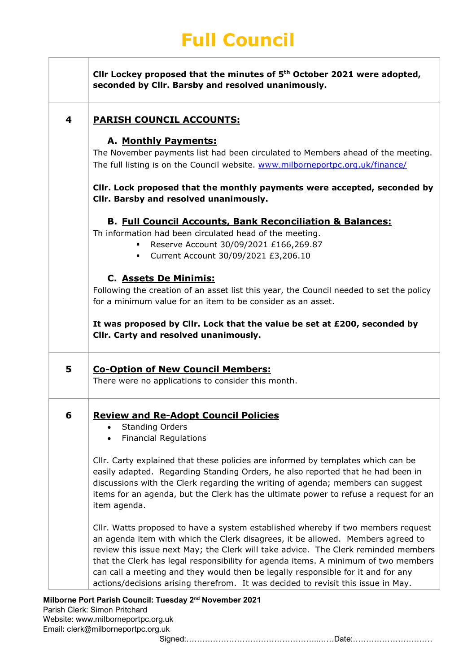# Full Council

 $\Gamma$ 

 $\mathbb{R}$ 

| 4 | <b>PARISH COUNCIL ACCOUNTS:</b>                                                                                                                                                                                                                                                                                                                                                                                                                                                                                            |
|---|----------------------------------------------------------------------------------------------------------------------------------------------------------------------------------------------------------------------------------------------------------------------------------------------------------------------------------------------------------------------------------------------------------------------------------------------------------------------------------------------------------------------------|
|   | A. Monthly Payments:                                                                                                                                                                                                                                                                                                                                                                                                                                                                                                       |
|   | The November payments list had been circulated to Members ahead of the meeting.                                                                                                                                                                                                                                                                                                                                                                                                                                            |
|   | The full listing is on the Council website. www.milborneportpc.org.uk/finance/                                                                                                                                                                                                                                                                                                                                                                                                                                             |
|   | CIIr. Lock proposed that the monthly payments were accepted, seconded by<br>Cllr. Barsby and resolved unanimously.                                                                                                                                                                                                                                                                                                                                                                                                         |
|   | <b>B. Full Council Accounts, Bank Reconciliation &amp; Balances:</b>                                                                                                                                                                                                                                                                                                                                                                                                                                                       |
|   | Th information had been circulated head of the meeting.                                                                                                                                                                                                                                                                                                                                                                                                                                                                    |
|   | Reserve Account 30/09/2021 £166,269.87                                                                                                                                                                                                                                                                                                                                                                                                                                                                                     |
|   | Current Account 30/09/2021 £3,206.10<br>٠                                                                                                                                                                                                                                                                                                                                                                                                                                                                                  |
|   | <b>C. Assets De Minimis:</b>                                                                                                                                                                                                                                                                                                                                                                                                                                                                                               |
|   | Following the creation of an asset list this year, the Council needed to set the policy                                                                                                                                                                                                                                                                                                                                                                                                                                    |
|   | for a minimum value for an item to be consider as an asset.                                                                                                                                                                                                                                                                                                                                                                                                                                                                |
|   | It was proposed by Cllr. Lock that the value be set at £200, seconded by                                                                                                                                                                                                                                                                                                                                                                                                                                                   |
|   | Cllr. Carty and resolved unanimously.                                                                                                                                                                                                                                                                                                                                                                                                                                                                                      |
| 5 |                                                                                                                                                                                                                                                                                                                                                                                                                                                                                                                            |
|   | <b>Co-Option of New Council Members:</b><br>There were no applications to consider this month.                                                                                                                                                                                                                                                                                                                                                                                                                             |
|   |                                                                                                                                                                                                                                                                                                                                                                                                                                                                                                                            |
|   | <b>Review and Re-Adopt Council Policies</b><br><b>Standing Orders</b>                                                                                                                                                                                                                                                                                                                                                                                                                                                      |
|   | <b>Financial Regulations</b>                                                                                                                                                                                                                                                                                                                                                                                                                                                                                               |
|   |                                                                                                                                                                                                                                                                                                                                                                                                                                                                                                                            |
|   | Cllr. Carty explained that these policies are informed by templates which can be                                                                                                                                                                                                                                                                                                                                                                                                                                           |
|   | easily adapted. Regarding Standing Orders, he also reported that he had been in                                                                                                                                                                                                                                                                                                                                                                                                                                            |
|   |                                                                                                                                                                                                                                                                                                                                                                                                                                                                                                                            |
|   | item agenda.                                                                                                                                                                                                                                                                                                                                                                                                                                                                                                               |
|   |                                                                                                                                                                                                                                                                                                                                                                                                                                                                                                                            |
|   |                                                                                                                                                                                                                                                                                                                                                                                                                                                                                                                            |
| 6 |                                                                                                                                                                                                                                                                                                                                                                                                                                                                                                                            |
|   | discussions with the Clerk regarding the writing of agenda; members can suggest<br>items for an agenda, but the Clerk has the ultimate power to refuse a request for an<br>Cllr. Watts proposed to have a system established whereby if two members request<br>an agenda item with which the Clerk disagrees, it be allowed. Members agreed to<br>review this issue next May; the Clerk will take advice. The Clerk reminded members<br>that the Clerk has legal responsibility for agenda items. A minimum of two members |
|   | can call a meeting and they would then be legally responsible for it and for any<br>actions/decisions arising therefrom. It was decided to revisit this issue in May.                                                                                                                                                                                                                                                                                                                                                      |

Parish Clerk: Simon Pritchard Website: www.milborneportpc.org.uk Email: clerk@milborneportpc.org.uk

Signed:…………………………………………..……Date:…………………………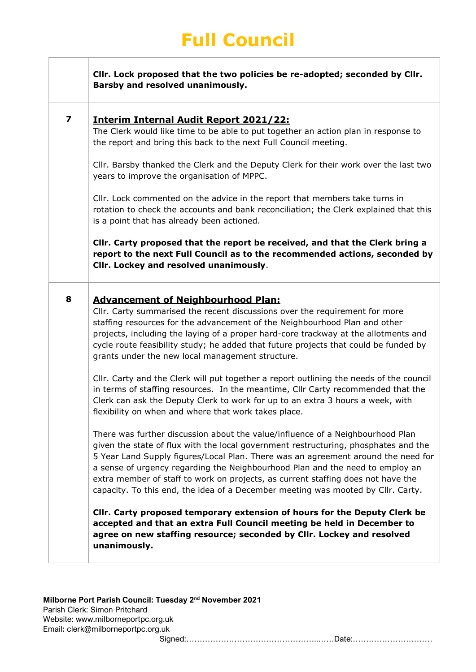|                         | CIIr. Lock proposed that the two policies be re-adopted; seconded by CIIr.<br>Barsby and resolved unanimously.                                                                                                                                                                                                                                                                                                                                                                                                                                                                                                                                                                                                                                                     |
|-------------------------|--------------------------------------------------------------------------------------------------------------------------------------------------------------------------------------------------------------------------------------------------------------------------------------------------------------------------------------------------------------------------------------------------------------------------------------------------------------------------------------------------------------------------------------------------------------------------------------------------------------------------------------------------------------------------------------------------------------------------------------------------------------------|
| $\overline{\mathbf{z}}$ | <b>Interim Internal Audit Report 2021/22:</b><br>The Clerk would like time to be able to put together an action plan in response to<br>the report and bring this back to the next Full Council meeting.                                                                                                                                                                                                                                                                                                                                                                                                                                                                                                                                                            |
|                         | Cllr. Barsby thanked the Clerk and the Deputy Clerk for their work over the last two<br>years to improve the organisation of MPPC.                                                                                                                                                                                                                                                                                                                                                                                                                                                                                                                                                                                                                                 |
|                         | Cllr. Lock commented on the advice in the report that members take turns in<br>rotation to check the accounts and bank reconciliation; the Clerk explained that this<br>is a point that has already been actioned.                                                                                                                                                                                                                                                                                                                                                                                                                                                                                                                                                 |
|                         | CIIr. Carty proposed that the report be received, and that the Clerk bring a<br>report to the next Full Council as to the recommended actions, seconded by<br>Cllr. Lockey and resolved unanimously.                                                                                                                                                                                                                                                                                                                                                                                                                                                                                                                                                               |
| 8                       | <b>Advancement of Neighbourhood Plan:</b><br>Cllr. Carty summarised the recent discussions over the requirement for more<br>staffing resources for the advancement of the Neighbourhood Plan and other<br>projects, including the laying of a proper hard-core trackway at the allotments and<br>cycle route feasibility study; he added that future projects that could be funded by<br>grants under the new local management structure.<br>Cllr. Carty and the Clerk will put together a report outlining the needs of the council<br>in terms of staffing resources. In the meantime, Cllr Carty recommended that the<br>Clerk can ask the Deputy Clerk to work for up to an extra 3 hours a week, with<br>flexibility on when and where that work takes place. |
|                         | There was further discussion about the value/influence of a Neighbourhood Plan<br>given the state of flux with the local government restructuring, phosphates and the<br>5 Year Land Supply figures/Local Plan. There was an agreement around the need for<br>a sense of urgency regarding the Neighbourhood Plan and the need to employ an<br>extra member of staff to work on projects, as current staffing does not have the<br>capacity. To this end, the idea of a December meeting was mooted by Cllr. Carty.                                                                                                                                                                                                                                                |
|                         | Cllr. Carty proposed temporary extension of hours for the Deputy Clerk be<br>accepted and that an extra Full Council meeting be held in December to<br>agree on new staffing resource; seconded by Cllr. Lockey and resolved<br>unanimously.                                                                                                                                                                                                                                                                                                                                                                                                                                                                                                                       |